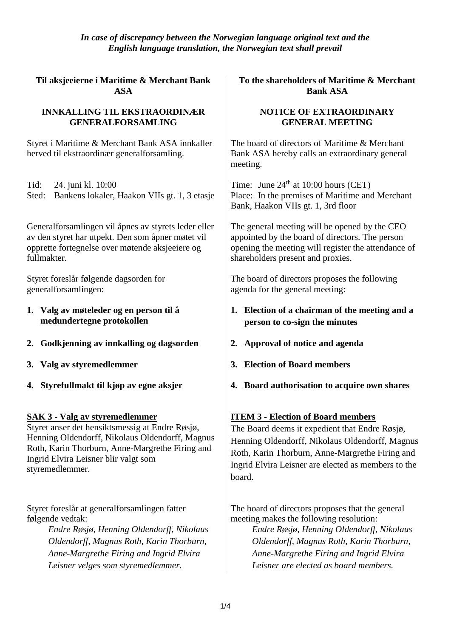*In case of discrepancy between the Norwegian language original text and the English language translation, the Norwegian text shall prevail*

**Til aksjeeierne i Maritime & Merchant Bank ASA**

#### **INNKALLING TIL EKSTRAORDINÆR GENERALFORSAMLING**

Styret i Maritime & Merchant Bank ASA innkaller herved til ekstraordinær generalforsamling.

Tid: 24. juni kl. 10:00

Sted: Bankens lokaler, Haakon VIIs gt. 1, 3 etasje

Generalforsamlingen vil åpnes av styrets leder eller av den styret har utpekt. Den som åpner møtet vil opprette fortegnelse over møtende aksjeeiere og fullmakter.

Styret foreslår følgende dagsorden for generalforsamlingen:

- **1. Valg av møteleder og en person til å medundertegne protokollen**
- **2. Godkjenning av innkalling og dagsorden 2. Approval of notice and agenda**
- **3. Valg av styremedlemmer**
- **4. Styrefullmakt til kjøp av egne aksjer**

## **SAK 3 - Valg av styremedlemmer**

Styret anser det hensiktsmessig at Endre Røsjø, Henning Oldendorff, Nikolaus Oldendorff, Magnus Roth, Karin Thorburn, Anne-Margrethe Firing and Ingrid Elvira Leisner blir valgt som styremedlemmer.

Styret foreslår at generalforsamlingen fatter følgende vedtak:

> *Endre Røsjø, Henning Oldendorff, Nikolaus Oldendorff, Magnus Roth, Karin Thorburn, Anne-Margrethe Firing and Ingrid Elvira Leisner velges som styremedlemmer.*

**To the shareholders of Maritime & Merchant Bank ASA**

### **NOTICE OF EXTRAORDINARY GENERAL MEETING**

The board of directors of Maritime & Merchant Bank ASA hereby calls an extraordinary general meeting.

Time: June  $24<sup>th</sup>$  at 10:00 hours (CET) Place: In the premises of Maritime and Merchant Bank, Haakon VIIs gt. 1, 3rd floor

The general meeting will be opened by the CEO appointed by the board of directors. The person opening the meeting will register the attendance of shareholders present and proxies.

The board of directors proposes the following agenda for the general meeting:

- **1. Election of a chairman of the meeting and a person to co-sign the minutes**
- 
- **3. Election of Board members**
- **4. Board authorisation to acquire own shares**

# **ITEM 3 - Election of Board members**

The Board deems it expedient that Endre Røsjø, Henning Oldendorff, Nikolaus Oldendorff, Magnus Roth, Karin Thorburn, Anne-Margrethe Firing and Ingrid Elvira Leisner are elected as members to the board.

The board of directors proposes that the general meeting makes the following resolution:

*Endre Røsjø, Henning Oldendorff, Nikolaus Oldendorff, Magnus Roth, Karin Thorburn, Anne-Margrethe Firing and Ingrid Elvira Leisner are elected as board members.*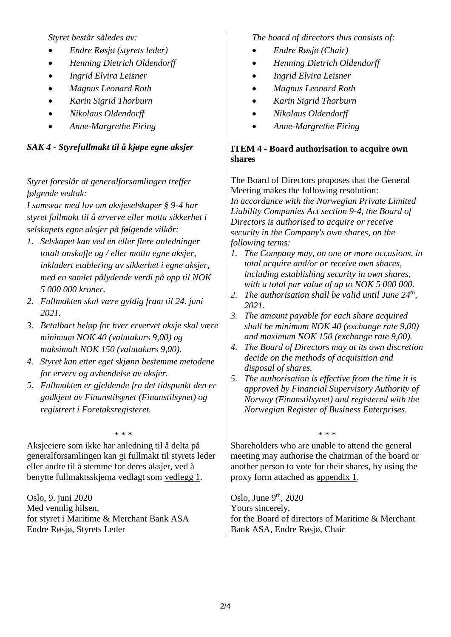*Styret består således av:* 

- *Endre Røsjø (styrets leder)*
- *Henning Dietrich Oldendorff*
- *Ingrid Elvira Leisner*
- *Magnus Leonard Roth*
- *Karin Sigrid Thorburn*
- *Nikolaus Oldendorff*
- *Anne-Margrethe Firing*

## *SAK 4 - Styrefullmakt til å kjøpe egne aksjer*

*Styret foreslår at generalforsamlingen treffer følgende vedtak:*

*I samsvar med lov om aksjeselskaper § 9-4 har styret fullmakt til å erverve eller motta sikkerhet i selskapets egne aksjer på følgende vilkår:*

- *1. Selskapet kan ved en eller flere anledninger totalt anskaffe og / eller motta egne aksjer, inkludert etablering av sikkerhet i egne aksjer, med en samlet pålydende verdi på opp til NOK 5 000 000 kroner.*
- *2. Fullmakten skal være gyldig fram til 24. juni 2021.*
- *3. Betalbart beløp for hver ervervet aksje skal være minimum NOK 40 (valutakurs 9,00) og maksimalt NOK 150 (valutakurs 9,00).*
- *4. Styret kan etter eget skjønn bestemme metodene for erverv og avhendelse av aksjer.*
- *5. Fullmakten er gjeldende fra det tidspunkt den er godkjent av Finanstilsynet (Finanstilsynet) og registrert i Foretaksregisteret.*

Aksjeeiere som ikke har anledning til å delta på generalforsamlingen kan gi fullmakt til styrets leder eller andre til å stemme for deres aksjer, ved å benytte fullmaktsskjema vedlagt som vedlegg 1.

Oslo, 9. juni 2020 Med vennlig hilsen, for styret i Maritime & Merchant Bank ASA Endre Røsjø, Styrets Leder

*The board of directors thus consists of:*

- *Endre Røsjø (Chair)*
- *Henning Dietrich Oldendorff*
- *Ingrid Elvira Leisner*
- *Magnus Leonard Roth*
- *Karin Sigrid Thorburn*
- *Nikolaus Oldendorff*
- *Anne-Margrethe Firing*

## **ITEM 4 - Board authorisation to acquire own shares**

The Board of Directors proposes that the General Meeting makes the following resolution: *In accordance with the Norwegian Private Limited Liability Companies Act section 9-4, the Board of Directors is authorised to acquire or receive security in the Company's own shares, on the following terms:*

- *1. The Company may, on one or more occasions, in total acquire and/or or receive own shares, including establishing security in own shares, with a total par value of up to NOK 5 000 000.*
- *2. The authorisation shall be valid until June 24th , 2021.*
- *3. The amount payable for each share acquired shall be minimum NOK 40 (exchange rate 9,00) and maximum NOK 150 (exchange rate 9,00).*
- *4. The Board of Directors may at its own discretion decide on the methods of acquisition and disposal of shares.*
- *5. The authorisation is effective from the time it is approved by Financial Supervisory Authority of Norway (Finanstilsynet) and registered with the Norwegian Register of Business Enterprises.*

\* \* \* \* \* \*

Shareholders who are unable to attend the general meeting may authorise the chairman of the board or another person to vote for their shares, by using the proxy form attached as appendix 1.

th , 2020 Yours sincerely, for the Board of directors of Maritime & Merchant Bank ASA, Endre Røsjø, Chair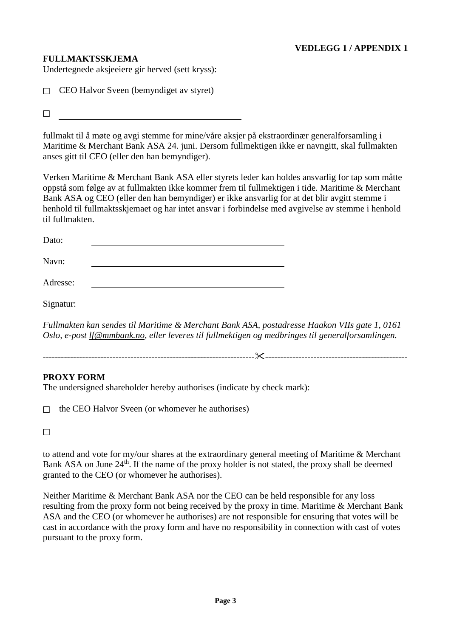### **FULLMAKTSSKJEMA**

Undertegnede aksjeeiere gir herved (sett kryss):

 $\Box$  CEO Halvor Sveen (bemyndiget av styret)

 $\Box$ 

fullmakt til å møte og avgi stemme for mine/våre aksjer på ekstraordinær generalforsamling i Maritime & Merchant Bank ASA 24. juni. Dersom fullmektigen ikke er navngitt, skal fullmakten anses gitt til CEO (eller den han bemyndiger).

Verken Maritime & Merchant Bank ASA eller styrets leder kan holdes ansvarlig for tap som måtte oppstå som følge av at fullmakten ikke kommer frem til fullmektigen i tide. Maritime & Merchant Bank ASA og CEO (eller den han bemyndiger) er ikke ansvarlig for at det blir avgitt stemme i henhold til fullmaktsskjemaet og har intet ansvar i forbindelse med avgivelse av stemme i henhold til fullmakten.

| Dato:     |  |  |
|-----------|--|--|
| Navn:     |  |  |
| Adresse:  |  |  |
| Signatur: |  |  |

*Fullmakten kan sendes til Maritime & Merchant Bank ASA, postadresse Haakon VIIs gate 1, 0161 Oslo, e-post [lf@mmbank.no,](mailto:lf@mmbank.no) eller leveres til fullmektigen og medbringes til generalforsamlingen.*

---------------------------------------------------------------------------------------------------------------------

### **PROXY FORM**

The undersigned shareholder hereby authorises (indicate by check mark):

 $\Box$  the CEO Halvor Sveen (or whomever he authorises)

☐

to attend and vote for my/our shares at the extraordinary general meeting of Maritime & Merchant Bank ASA on June 24<sup>th</sup>. If the name of the proxy holder is not stated, the proxy shall be deemed granted to the CEO (or whomever he authorises).

Neither Maritime & Merchant Bank ASA nor the CEO can be held responsible for any loss resulting from the proxy form not being received by the proxy in time. Maritime & Merchant Bank ASA and the CEO (or whomever he authorises) are not responsible for ensuring that votes will be cast in accordance with the proxy form and have no responsibility in connection with cast of votes pursuant to the proxy form.